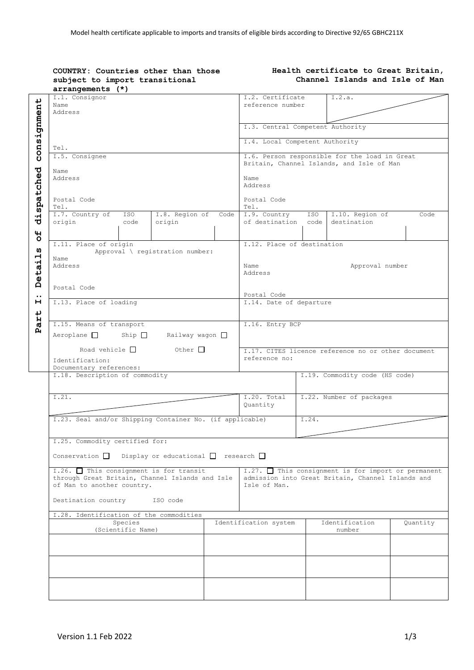| subject to import transitional<br>arrangements (*)                                                                            |                                                                                                                          | Health certificate to Great Britain,<br>Channel Islands and Isle of Man |                                |          |  |
|-------------------------------------------------------------------------------------------------------------------------------|--------------------------------------------------------------------------------------------------------------------------|-------------------------------------------------------------------------|--------------------------------|----------|--|
| I.1. Consignor<br>Name<br>Address                                                                                             | I.2. Certificate<br>reference number                                                                                     |                                                                         | I.2.a.                         |          |  |
|                                                                                                                               | I.3. Central Competent Authority                                                                                         |                                                                         |                                |          |  |
| Tel.                                                                                                                          |                                                                                                                          | I.4. Local Competent Authority                                          |                                |          |  |
| I.5. Consignee<br>Name                                                                                                        | I.6. Person responsible for the load in Great<br>Britain, Channel Islands, and Isle of Man<br>Name<br>Address            |                                                                         |                                |          |  |
| Address                                                                                                                       |                                                                                                                          |                                                                         |                                |          |  |
| Postal Code<br>Tel.<br>I.7. Country of<br>I.8. Region of Code<br>ISO                                                          | Postal Code<br>Tel.<br>I.9. Country ISO<br>I.10. Region of<br>Code                                                       |                                                                         |                                |          |  |
| origin<br>origin<br>code                                                                                                      | of destination code                                                                                                      |                                                                         | destination                    |          |  |
| I.11. Place of origin<br>Approval \ registration number:<br>Name                                                              | I.12. Place of destination                                                                                               |                                                                         |                                |          |  |
| Address                                                                                                                       | Name<br>Address                                                                                                          |                                                                         | Approval number                |          |  |
| Postal Code<br>I.13. Place of loading                                                                                         | Postal Code                                                                                                              |                                                                         |                                |          |  |
|                                                                                                                               |                                                                                                                          | I.14. Date of departure                                                 |                                |          |  |
| I.15. Means of transport<br>Aeroplane $\Box$ Ship $\Box$ Railway wagon $\Box$                                                 | I.16. Entry BCP                                                                                                          |                                                                         |                                |          |  |
| Road vehicle $\Box$ Other $\Box$<br>Identification:                                                                           | I.17. CITES licence reference no or other document<br>reference no:                                                      |                                                                         |                                |          |  |
| Documentary references:<br>I.18. Description of commodity                                                                     |                                                                                                                          |                                                                         | I.19. Commodity code (HS code) |          |  |
| I.21.                                                                                                                         | I.20. Total<br>Quantity                                                                                                  |                                                                         | I.22. Number of packages       |          |  |
| I.23. Seal and/or Shipping Container No. (if applicable)                                                                      |                                                                                                                          | I.24.                                                                   |                                |          |  |
| I.25. Commodity certified for:<br>Conservation $\Box$ Display or educational $\Box$ research $\Box$                           |                                                                                                                          |                                                                         |                                |          |  |
| I.26. $\Box$ This consignment is for transit<br>through Great Britain, Channel Islands and Isle<br>of Man to another country. | $1.27.$ This consignment is for import or permanent<br>admission into Great Britain, Channel Islands and<br>Isle of Man. |                                                                         |                                |          |  |
| Destination country<br>ISO code                                                                                               |                                                                                                                          |                                                                         |                                |          |  |
| I.28. Identification of the commodities                                                                                       |                                                                                                                          |                                                                         |                                |          |  |
| Species<br>(Scientific Name)                                                                                                  | Identification system                                                                                                    |                                                                         | Identification<br>number       | Quantity |  |
|                                                                                                                               |                                                                                                                          |                                                                         |                                |          |  |
|                                                                                                                               |                                                                                                                          |                                                                         |                                |          |  |
|                                                                                                                               |                                                                                                                          |                                                                         |                                |          |  |
|                                                                                                                               |                                                                                                                          |                                                                         |                                |          |  |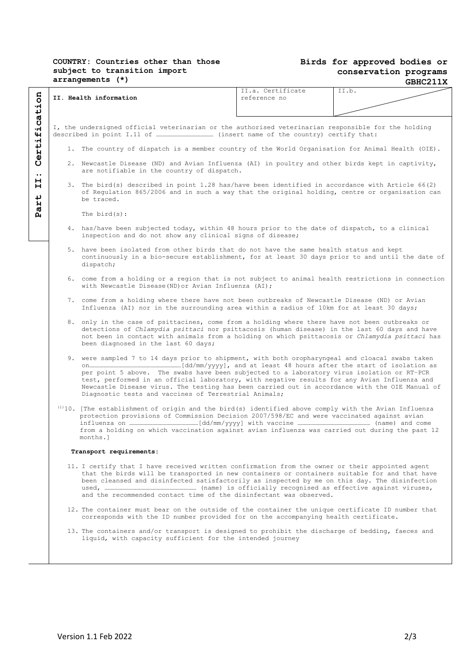## **COUNTRY: Countries other than those subject to transition import arrangements (\*)**

## **Birds for approved bodies or conservation programs GBHC211X**

|                     |                                                                                                                                                                                                                                                                                                                                                                         |                                                                                                                                                                                                                                                                                                                                                                                                                                                                                                                                                                                                                                                                                                                                                                                                      | II.a. Certificate | II.b. |  |  |  |  |  |
|---------------------|-------------------------------------------------------------------------------------------------------------------------------------------------------------------------------------------------------------------------------------------------------------------------------------------------------------------------------------------------------------------------|------------------------------------------------------------------------------------------------------------------------------------------------------------------------------------------------------------------------------------------------------------------------------------------------------------------------------------------------------------------------------------------------------------------------------------------------------------------------------------------------------------------------------------------------------------------------------------------------------------------------------------------------------------------------------------------------------------------------------------------------------------------------------------------------------|-------------------|-------|--|--|--|--|--|
|                     |                                                                                                                                                                                                                                                                                                                                                                         | II. Health information                                                                                                                                                                                                                                                                                                                                                                                                                                                                                                                                                                                                                                                                                                                                                                               | reference no      |       |  |  |  |  |  |
|                     |                                                                                                                                                                                                                                                                                                                                                                         |                                                                                                                                                                                                                                                                                                                                                                                                                                                                                                                                                                                                                                                                                                                                                                                                      |                   |       |  |  |  |  |  |
|                     |                                                                                                                                                                                                                                                                                                                                                                         |                                                                                                                                                                                                                                                                                                                                                                                                                                                                                                                                                                                                                                                                                                                                                                                                      |                   |       |  |  |  |  |  |
|                     |                                                                                                                                                                                                                                                                                                                                                                         | I, the undersigned official veterinarian or the authorised veterinarian responsible for the holding                                                                                                                                                                                                                                                                                                                                                                                                                                                                                                                                                                                                                                                                                                  |                   |       |  |  |  |  |  |
|                     |                                                                                                                                                                                                                                                                                                                                                                         |                                                                                                                                                                                                                                                                                                                                                                                                                                                                                                                                                                                                                                                                                                                                                                                                      |                   |       |  |  |  |  |  |
| Certification       | 1. The country of dispatch is a member country of the World Organisation for Animal Health (OIE).                                                                                                                                                                                                                                                                       |                                                                                                                                                                                                                                                                                                                                                                                                                                                                                                                                                                                                                                                                                                                                                                                                      |                   |       |  |  |  |  |  |
| $\bullet$ $\bullet$ |                                                                                                                                                                                                                                                                                                                                                                         | 2. Newcastle Disease (ND) and Avian Influenza (AI) in poultry and other birds kept in captivity,<br>are notifiable in the country of dispatch.                                                                                                                                                                                                                                                                                                                                                                                                                                                                                                                                                                                                                                                       |                   |       |  |  |  |  |  |
| н<br>н<br>↵<br>ÌЧ.  |                                                                                                                                                                                                                                                                                                                                                                         | 3. The bird(s) described in point 1.28 has/have been identified in accordance with Article 66(2)<br>of Regulation 865/2006 and in such a way that the original holding, centre or organisation can<br>be traced.                                                                                                                                                                                                                                                                                                                                                                                                                                                                                                                                                                                     |                   |       |  |  |  |  |  |
| Ø<br>д              | The $bird(s)$ :                                                                                                                                                                                                                                                                                                                                                         |                                                                                                                                                                                                                                                                                                                                                                                                                                                                                                                                                                                                                                                                                                                                                                                                      |                   |       |  |  |  |  |  |
|                     |                                                                                                                                                                                                                                                                                                                                                                         | 4. has/have been subjected today, within 48 hours prior to the date of dispatch, to a clinical<br>inspection and do not show any clinical signs of disease;                                                                                                                                                                                                                                                                                                                                                                                                                                                                                                                                                                                                                                          |                   |       |  |  |  |  |  |
|                     | 5. have been isolated from other birds that do not have the same health status and kept<br>continuously in a bio-secure establishment, for at least 30 days prior to and until the date of<br>dispatch;                                                                                                                                                                 |                                                                                                                                                                                                                                                                                                                                                                                                                                                                                                                                                                                                                                                                                                                                                                                                      |                   |       |  |  |  |  |  |
|                     | 6. come from a holding or a region that is not subject to animal health restrictions in connection<br>with Newcastle Disease (ND) or Avian Influenza (AI);                                                                                                                                                                                                              |                                                                                                                                                                                                                                                                                                                                                                                                                                                                                                                                                                                                                                                                                                                                                                                                      |                   |       |  |  |  |  |  |
|                     |                                                                                                                                                                                                                                                                                                                                                                         | 7. come from a holding where there have not been outbreaks of Newcastle Disease (ND) or Avian<br>Influenza (AI) nor in the surrounding area within a radius of 10km for at least 30 days;                                                                                                                                                                                                                                                                                                                                                                                                                                                                                                                                                                                                            |                   |       |  |  |  |  |  |
|                     |                                                                                                                                                                                                                                                                                                                                                                         | 8. only in the case of psittacines, come from a holding where there have not been outbreaks or<br>detections of Chlamydia psittaci nor psittacosis (human disease) in the last 60 days and have<br>not been in contact with animals from a holding on which psittacosis or Chlamydia psittaci has<br>been diagnosed in the last 60 days;<br>9. were sampled 7 to 14 days prior to shipment, with both oropharyngeal and cloacal swabs taken<br>per point 5 above. The swabs have been subjected to a laboratory virus isolation or RT-PCR<br>test, performed in an official laboratory, with negative results for any Avian Influenza and<br>Newcastle Disease virus. The testing has been carried out in accordance with the OIE Manual of<br>Diagnostic tests and vaccines of Terrestrial Animals; |                   |       |  |  |  |  |  |
|                     |                                                                                                                                                                                                                                                                                                                                                                         |                                                                                                                                                                                                                                                                                                                                                                                                                                                                                                                                                                                                                                                                                                                                                                                                      |                   |       |  |  |  |  |  |
|                     |                                                                                                                                                                                                                                                                                                                                                                         | $^{(1)}$ 10. [The establishment of origin and the bird(s) identified above comply with the Avian Influenza<br>protection provisions of Commission Decision 2007/598/EC and were vaccinated against avian<br>from a holding on which vaccination against avian influenza was carried out during the past 12<br>months.1                                                                                                                                                                                                                                                                                                                                                                                                                                                                               |                   |       |  |  |  |  |  |
|                     | Transport requirements:                                                                                                                                                                                                                                                                                                                                                 |                                                                                                                                                                                                                                                                                                                                                                                                                                                                                                                                                                                                                                                                                                                                                                                                      |                   |       |  |  |  |  |  |
|                     | 11. I certify that I have received written confirmation from the owner or their appointed agent<br>that the birds will be transported in new containers or containers suitable for and that have<br>been cleansed and disinfected satisfactorily as inspected by me on this day. The disinfection<br>and the recommended contact time of the disinfectant was observed. |                                                                                                                                                                                                                                                                                                                                                                                                                                                                                                                                                                                                                                                                                                                                                                                                      |                   |       |  |  |  |  |  |
|                     |                                                                                                                                                                                                                                                                                                                                                                         | 12. The container must bear on the outside of the container the unique certificate ID number that<br>corresponds with the ID number provided for on the accompanying health certificate.                                                                                                                                                                                                                                                                                                                                                                                                                                                                                                                                                                                                             |                   |       |  |  |  |  |  |
|                     | 13. The containers and/or transport is designed to prohibit the discharge of bedding, faeces and<br>liquid, with capacity sufficient for the intended journey                                                                                                                                                                                                           |                                                                                                                                                                                                                                                                                                                                                                                                                                                                                                                                                                                                                                                                                                                                                                                                      |                   |       |  |  |  |  |  |
|                     |                                                                                                                                                                                                                                                                                                                                                                         |                                                                                                                                                                                                                                                                                                                                                                                                                                                                                                                                                                                                                                                                                                                                                                                                      |                   |       |  |  |  |  |  |